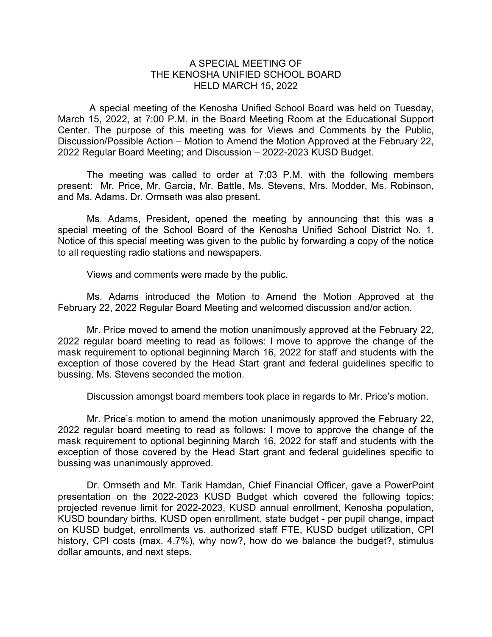## A SPECIAL MEETING OF THE KENOSHA UNIFIED SCHOOL BOARD HELD MARCH 15, 2022

A special meeting of the Kenosha Unified School Board was held on Tuesday, March 15, 2022, at 7:00 P.M. in the Board Meeting Room at the Educational Support Center. The purpose of this meeting was for Views and Comments by the Public, Discussion/Possible Action – Motion to Amend the Motion Approved at the February 22, 2022 Regular Board Meeting; and Discussion – 2022-2023 KUSD Budget.

The meeting was called to order at 7:03 P.M. with the following members present: Mr. Price, Mr. Garcia, Mr. Battle, Ms. Stevens, Mrs. Modder, Ms. Robinson, and Ms. Adams. Dr. Ormseth was also present.

Ms. Adams, President, opened the meeting by announcing that this was a special meeting of the School Board of the Kenosha Unified School District No. 1. Notice of this special meeting was given to the public by forwarding a copy of the notice to all requesting radio stations and newspapers.

Views and comments were made by the public.

Ms. Adams introduced the Motion to Amend the Motion Approved at the February 22, 2022 Regular Board Meeting and welcomed discussion and/or action.

Mr. Price moved to amend the motion unanimously approved at the February 22, 2022 regular board meeting to read as follows: I move to approve the change of the mask requirement to optional beginning March 16, 2022 for staff and students with the exception of those covered by the Head Start grant and federal guidelines specific to bussing. Ms. Stevens seconded the motion.

Discussion amongst board members took place in regards to Mr. Price's motion.

Mr. Price's motion to amend the motion unanimously approved the February 22, 2022 regular board meeting to read as follows: I move to approve the change of the mask requirement to optional beginning March 16, 2022 for staff and students with the exception of those covered by the Head Start grant and federal guidelines specific to bussing was unanimously approved.

Dr. Ormseth and Mr. Tarik Hamdan, Chief Financial Officer, gave a PowerPoint presentation on the 2022-2023 KUSD Budget which covered the following topics: projected revenue limit for 2022-2023, KUSD annual enrollment, Kenosha population, KUSD boundary births, KUSD open enrollment, state budget - per pupil change, impact on KUSD budget, enrollments vs. authorized staff FTE, KUSD budget utilization, CPI history, CPI costs (max. 4.7%), why now?, how do we balance the budget?, stimulus dollar amounts, and next steps.